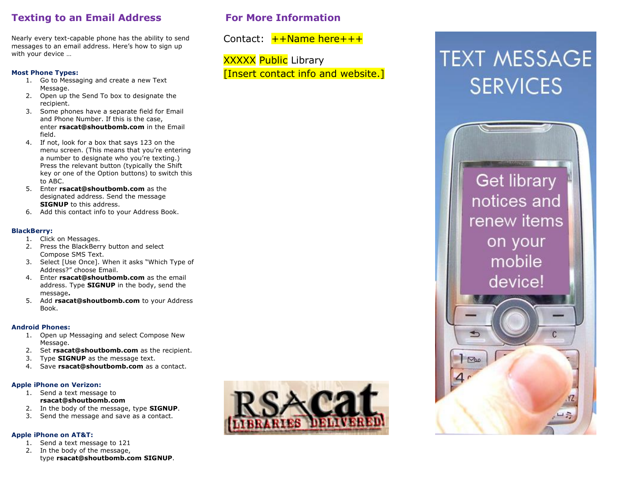# **Texting to an Email Address**

Nearly every text-capable phone has the ability to send messages to an email address. Here's how to sign up with your device …

#### **Most Phone Types:**

- 1. Go to Messaging and create a new Text Message.
- 2. Open up the Send To box to designate the recipient.
- 3. Some phones have a separate field for Email and Phone Number. If this is the case, enter **rsacat@shoutbomb.com** in the Email field.
- 4. If not, look for a box that says 123 on the menu screen. (This means that you're entering a number to designate who you're texting.) Press the relevant button (typically the Shift key or one of the Option buttons) to switch this to ABC.
- 5. Enter **rsacat@shoutbomb.com** as the designated address. Send the message **SIGNUP** to this address.
- 6. Add this contact info to your Address Book.

#### **BlackBerry:**

- 1. Click on Messages.
- 2. Press the BlackBerry button and select Compose SMS Text.
- 3. Select [Use Once]. When it asks "Which Type of Address?" choose Email.
- 4. Enter **rsacat@shoutbomb.com** as the email address. Type **SIGNUP** in the body, send the message**.**
- 5. Add **rsacat@shoutbomb.com** to your Address Book.

#### **Android Phones:**

- 1. Open up Messaging and select Compose New Message.
- 2. Set **rsacat@shoutbomb.com** as the recipient.
- 3. Type **SIGNUP** as the message text.
- 4. Save **rsacat@shoutbomb.com** as a contact.

#### **Apple iPhone on Verizon:**

- 1. Send a text message to **rsacat@shoutbomb.com**
- 2. In the body of the message, type **SIGNUP**.
- 3. Send the message and save as a contact.

#### **Apple iPhone on AT&T:**

- 1. Send a text message to 121
- 2. In the body of the message, type **rsacat@shoutbomb.com SIGNUP**.



# **TEXT MESSAGE SERVICES**



# **For More Information**

**XXXXX Public Library** 

Contact:  $+$  + Name here + + +

[Insert contact info and website.]